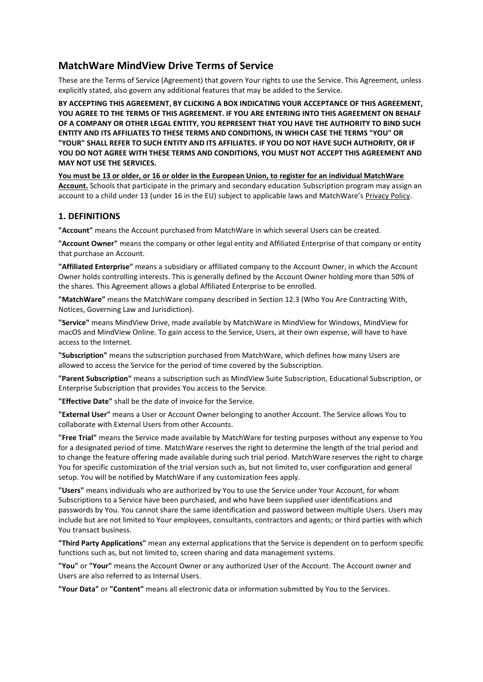# **MatchWare MindView Drive Terms of Service**

These are the Terms of Service (Agreement) that govern Your rights to use the Service. This Agreement, unless explicitly stated, also govern any additional features that may be added to the Service.

**BY ACCEPTING THIS AGREEMENT, BY CLICKING A BOX INDICATING YOUR ACCEPTANCE OF THIS AGREEMENT, YOU AGREE TO THE TERMS OF THIS AGREEMENT. IF YOU ARE ENTERING INTO THIS AGREEMENT ON BEHALF OF A COMPANY OR OTHER LEGAL ENTITY, YOU REPRESENT THAT YOU HAVE THE AUTHORITY TO BIND SUCH ENTITY AND ITS AFFILIATES TO THESE TERMS AND CONDITIONS, IN WHICH CASE THE TERMS "YOU" OR "YOUR" SHALL REFER TO SUCH ENTITY AND ITS AFFILIATES. IF YOU DO NOT HAVE SUCH AUTHORITY, OR IF YOU DO NOT AGREE WITH THESE TERMS AND CONDITIONS, YOU MUST NOT ACCEPT THIS AGREEMENT AND MAY NOT USE THE SERVICES.**

**You must be 13 or older, or 16 or older in the European Union, to register for an individual MatchWare Account.** Schools that participate in the primary and secondary education Subscription program may assign an account to a child under 13 (under 16 in the EU) subject to applicable laws and MatchWare's [Privacy Policy.](https://www.matchware.com/download/MatchWare-Privacy-Policy-EN.pdf)

## **1. DEFINITIONS**

**"Account"** means the Account purchased from MatchWare in which several Users can be created.

**"Account Owner"** means the company or other legal entity and Affiliated Enterprise of that company or entity that purchase an Account.

**"Affiliated Enterprise"** means a subsidiary or affiliated company to the Account Owner, in which the Account Owner holds controlling interests. This is generally defined by the Account Owner holding more than 50% of the shares. This Agreement allows a global Affiliated Enterprise to be enrolled.

**"MatchWare"** means the MatchWare company described in Section 12.3 (Who You Are Contracting With, Notices, Governing Law and Jurisdiction).

**"Service"** means MindView Drive, made available by MatchWare in MindView for Windows, MindView for macOS and MindView Online. To gain access to the Service, Users, at their own expense, will have to have access to the Internet.

**"Subscription"** means the subscription purchased from MatchWare, which defines how many Users are allowed to access the Service for the period of time covered by the Subscription.

**"Parent Subscription"** means a subscription such as MindView Suite Subscription, Educational Subscription, or Enterprise Subscription that provides You access to the Service.

**"Effective Date"** shall be the date of invoice for the Service.

**"External User"** means a User or Account Owner belonging to another Account. The Service allows You to collaborate with External Users from other Accounts.

**"Free Trial"** means the Service made available by MatchWare for testing purposes without any expense to You for a designated period of time. MatchWare reserves the right to determine the length of the trial period and to change the feature offering made available during such trial period. MatchWare reserves the right to charge You for specific customization of the trial version such as, but not limited to, user configuration and general setup. You will be notified by MatchWare if any customization fees apply.

**"Users"** means individuals who are authorized by You to use the Service under Your Account, for whom Subscriptions to a Service have been purchased, and who have been supplied user identifications and passwords by You. You cannot share the same identification and password between multiple Users. Users may include but are not limited to Your employees, consultants, contractors and agents; or third parties with which You transact business.

**"Third Party Applications"** mean any external applications that the Service is dependent on to perform specific functions such as, but not limited to, screen sharing and data management systems.

**"You"** or **"Your"** means the Account Owner or any authorized User of the Account. The Account owner and Users are also referred to as Internal Users.

**"Your Data"** or **"Content"** means all electronic data or information submitted by You to the Services.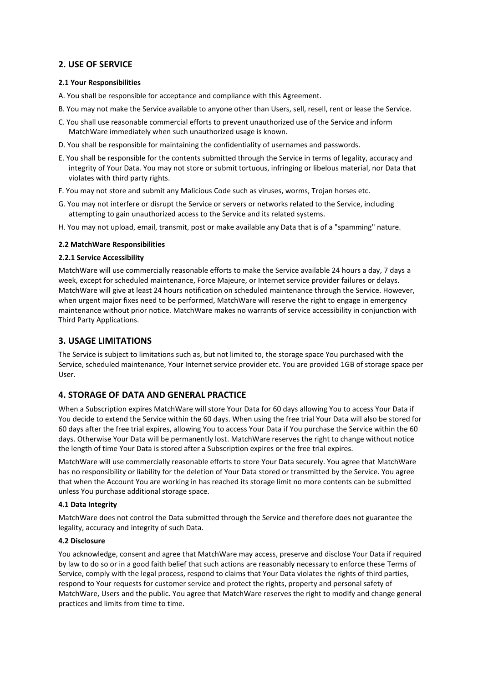## **2. USE OF SERVICE**

### **2.1 Your Responsibilities**

- A. You shall be responsible for acceptance and compliance with this Agreement.
- B. You may not make the Service available to anyone other than Users, sell, resell, rent or lease the Service.
- C. You shall use reasonable commercial efforts to prevent unauthorized use of the Service and inform MatchWare immediately when such unauthorized usage is known.
- D. You shall be responsible for maintaining the confidentiality of usernames and passwords.
- E. You shall be responsible for the contents submitted through the Service in terms of legality, accuracy and integrity of Your Data. You may not store or submit tortuous, infringing or libelous material, nor Data that violates with third party rights.
- F. You may not store and submit any Malicious Code such as viruses, worms, Trojan horses etc.
- G. You may not interfere or disrupt the Service or servers or networks related to the Service, including attempting to gain unauthorized access to the Service and its related systems.
- H. You may not upload, email, transmit, post or make available any Data that is of a "spamming" nature.

#### **2.2 MatchWare Responsibilities**

#### **2.2.1 Service Accessibility**

MatchWare will use commercially reasonable efforts to make the Service available 24 hours a day, 7 days a week, except for scheduled maintenance, Force Majeure, or Internet service provider failures or delays. MatchWare will give at least 24 hours notification on scheduled maintenance through the Service. However, when urgent major fixes need to be performed, MatchWare will reserve the right to engage in emergency maintenance without prior notice. MatchWare makes no warrants of service accessibility in conjunction with Third Party Applications.

## **3. USAGE LIMITATIONS**

The Service is subject to limitations such as, but not limited to, the storage space You purchased with the Service, scheduled maintenance, Your Internet service provider etc. You are provided 1GB of storage space per User.

## **4. STORAGE OF DATA AND GENERAL PRACTICE**

When a Subscription expires MatchWare will store Your Data for 60 days allowing You to access Your Data if You decide to extend the Service within the 60 days. When using the free trial Your Data will also be stored for 60 days after the free trial expires, allowing You to access Your Data if You purchase the Service within the 60 days. Otherwise Your Data will be permanently lost. MatchWare reserves the right to change without notice the length of time Your Data is stored after a Subscription expires or the free trial expires.

MatchWare will use commercially reasonable efforts to store Your Data securely. You agree that MatchWare has no responsibility or liability for the deletion of Your Data stored or transmitted by the Service. You agree that when the Account You are working in has reached its storage limit no more contents can be submitted unless You purchase additional storage space.

#### **4.1 Data Integrity**

MatchWare does not control the Data submitted through the Service and therefore does not guarantee the legality, accuracy and integrity of such Data.

#### **4.2 Disclosure**

You acknowledge, consent and agree that MatchWare may access, preserve and disclose Your Data if required by law to do so or in a good faith belief that such actions are reasonably necessary to enforce these Terms of Service, comply with the legal process, respond to claims that Your Data violates the rights of third parties, respond to Your requests for customer service and protect the rights, property and personal safety of MatchWare, Users and the public. You agree that MatchWare reserves the right to modify and change general practices and limits from time to time.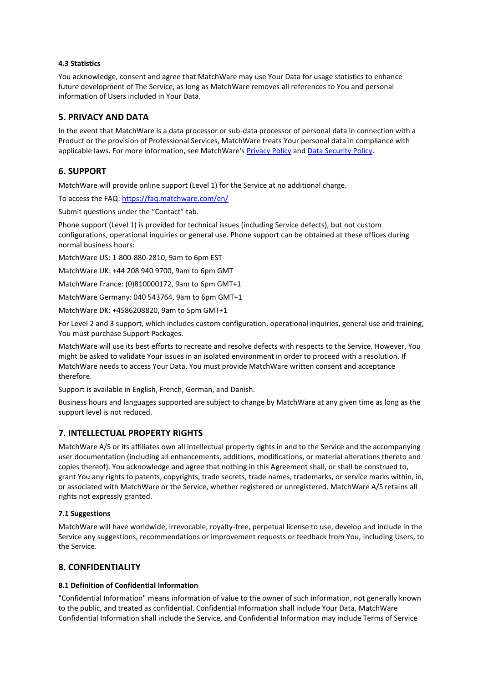### **4.3 Statistics**

You acknowledge, consent and agree that MatchWare may use Your Data for usage statistics to enhance future development of The Service, as long as MatchWare removes all references to You and personal information of Users included in Your Data.

## **5. PRIVACY AND DATA**

In the event that MatchWare is a data processor or sub-data processor of personal data in connection with a Product or the provision of Professional Services, MatchWare treats Your personal data in compliance with applicable laws. For more information, see MatchWare's [Privacy Policy](https://link.matchware.com/privacy_policy) and [Data Security Policy.](https://link.matchware.com/data_security_policy)

## **6. SUPPORT**

MatchWare will provide online support (Level 1) for the Service at no additional charge.

To access the FAQ: <https://faq.matchware.com/en/>

Submit questions under the "Contact" tab.

Phone support (Level 1) is provided for technical issues (including Service defects), but not custom configurations, operational inquiries or general use. Phone support can be obtained at these offices during normal business hours:

MatchWare US: 1-800-880-2810, 9am to 6pm EST

MatchWare UK: +44 208 940 9700, 9am to 6pm GMT

MatchWare France: (0)810000172, 9am to 6pm GMT+1

MatchWare Germany: 040 543764, 9am to 6pm GMT+1

MatchWare DK: +4586208820, 9am to 5pm GMT+1

For Level 2 and 3 support, which includes custom configuration, operational inquiries, general use and training, You must purchase Support Packages.

MatchWare will use its best efforts to recreate and resolve defects with respects to the Service. However, You might be asked to validate Your issues in an isolated environment in order to proceed with a resolution. If MatchWare needs to access Your Data, You must provide MatchWare written consent and acceptance therefore.

Support is available in English, French, German, and Danish.

Business hours and languages supported are subject to change by MatchWare at any given time as long as the support level is not reduced.

## **7. INTELLECTUAL PROPERTY RIGHTS**

MatchWare A/S or its affiliates own all intellectual property rights in and to the Service and the accompanying user documentation (including all enhancements, additions, modifications, or material alterations thereto and copies thereof). You acknowledge and agree that nothing in this Agreement shall, or shall be construed to, grant You any rights to patents, copyrights, trade secrets, trade names, trademarks, or service marks within, in, or associated with MatchWare or the Service, whether registered or unregistered. MatchWare A/S retains all rights not expressly granted.

### **7.1 Suggestions**

MatchWare will have worldwide, irrevocable, royalty-free, perpetual license to use, develop and include in the Service any suggestions, recommendations or improvement requests or feedback from You, including Users, to the Service.

## **8. CONFIDENTIALITY**

### **8.1 Definition of Confidential Information**

"Confidential Information" means information of value to the owner of such information, not generally known to the public, and treated as confidential. Confidential Information shall include Your Data, MatchWare Confidential Information shall include the Service, and Confidential Information may include Terms of Service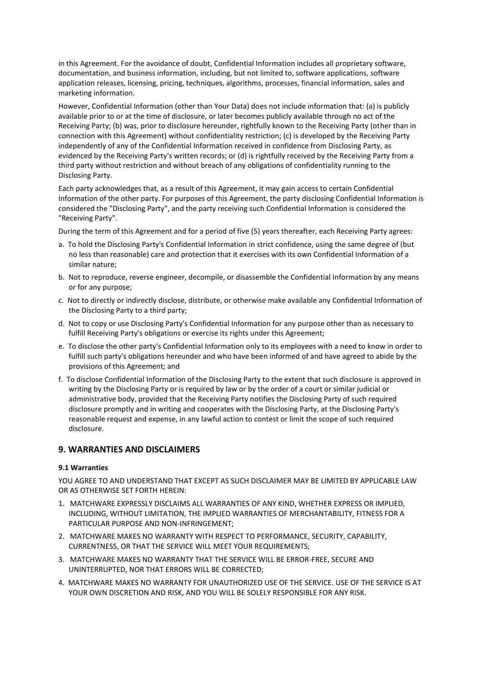in this Agreement. For the avoidance of doubt, Confidential Information includes all proprietary software, documentation, and business information, including, but not limited to, software applications, software application releases, licensing, pricing, techniques, algorithms, processes, financial information, sales and marketing information.

However, Confidential Information (other than Your Data) does not include information that: (a) is publicly available prior to or at the time of disclosure, or later becomes publicly available through no act of the Receiving Party; (b) was, prior to disclosure hereunder, rightfully known to the Receiving Party (other than in connection with this Agreement) without confidentiality restriction; (c) is developed by the Receiving Party independently of any of the Confidential Information received in confidence from Disclosing Party, as evidenced by the Receiving Party's written records; or (d) is rightfully received by the Receiving Party from a third party without restriction and without breach of any obligations of confidentiality running to the Disclosing Party.

Each party acknowledges that, as a result of this Agreement, it may gain access to certain Confidential Information of the other party. For purposes of this Agreement, the party disclosing Confidential Information is considered the "Disclosing Party", and the party receiving such Confidential Information is considered the "Receiving Party".

During the term of this Agreement and for a period of five (5) years thereafter, each Receiving Party agrees:

- a. To hold the Disclosing Party's Confidential Information in strict confidence, using the same degree of (but no less than reasonable) care and protection that it exercises with its own Confidential Information of a similar nature;
- b. Not to reproduce, reverse engineer, decompile, or disassemble the Confidential Information by any means or for any purpose;
- c. Not to directly or indirectly disclose, distribute, or otherwise make available any Confidential Information of the Disclosing Party to a third party;
- d. Not to copy or use Disclosing Party's Confidential Information for any purpose other than as necessary to fulfill Receiving Party's obligations or exercise its rights under this Agreement;
- e. To disclose the other party's Confidential Information only to its employees with a need to know in order to fulfill such party's obligations hereunder and who have been informed of and have agreed to abide by the provisions of this Agreement; and
- f. To disclose Confidential Information of the Disclosing Party to the extent that such disclosure is approved in writing by the Disclosing Party or is required by law or by the order of a court or similar judicial or administrative body, provided that the Receiving Party notifies the Disclosing Party of such required disclosure promptly and in writing and cooperates with the Disclosing Party, at the Disclosing Party's reasonable request and expense, in any lawful action to contest or limit the scope of such required disclosure.

## **9. WARRANTIES AND DISCLAIMERS**

### **9.1 Warranties**

YOU AGREE TO AND UNDERSTAND THAT EXCEPT AS SUCH DISCLAIMER MAY BE LIMITED BY APPLICABLE LAW OR AS OTHERWISE SET FORTH HEREIN:

- 1. MATCHWARE EXPRESSLY DISCLAIMS ALL WARRANTIES OF ANY KIND, WHETHER EXPRESS OR IMPLIED, INCLUDING, WITHOUT LIMITATION, THE IMPLIED WARRANTIES OF MERCHANTABILITY, FITNESS FOR A PARTICULAR PURPOSE AND NON-INFRINGEMENT;
- 2. MATCHWARE MAKES NO WARRANTY WITH RESPECT TO PERFORMANCE, SECURITY, CAPABILITY, CURRENTNESS, OR THAT THE SERVICE WILL MEET YOUR REQUIREMENTS;
- 3. MATCHWARE MAKES NO WARRANTY THAT THE SERVICE WILL BE ERROR-FREE, SECURE AND UNINTERRUPTED, NOR THAT ERRORS WILL BE CORRECTED;
- 4. MATCHWARE MAKES NO WARRANTY FOR UNAUTHORIZED USE OF THE SERVICE. USE OF THE SERVICE IS AT YOUR OWN DISCRETION AND RISK, AND YOU WILL BE SOLELY RESPONSIBLE FOR ANY RISK.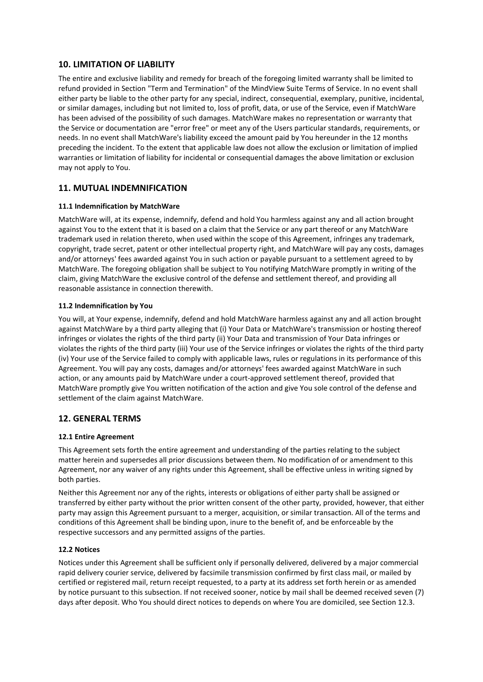## **10. LIMITATION OF LIABILITY**

The entire and exclusive liability and remedy for breach of the foregoing limited warranty shall be limited to refund provided in Section "Term and Termination" of the MindView Suite Terms of Service. In no event shall either party be liable to the other party for any special, indirect, consequential, exemplary, punitive, incidental, or similar damages, including but not limited to, loss of profit, data, or use of the Service, even if MatchWare has been advised of the possibility of such damages. MatchWare makes no representation or warranty that the Service or documentation are "error free" or meet any of the Users particular standards, requirements, or needs. In no event shall MatchWare's liability exceed the amount paid by You hereunder in the 12 months preceding the incident. To the extent that applicable law does not allow the exclusion or limitation of implied warranties or limitation of liability for incidental or consequential damages the above limitation or exclusion may not apply to You.

## **11. MUTUAL INDEMNIFICATION**

### **11.1 Indemnification by MatchWare**

MatchWare will, at its expense, indemnify, defend and hold You harmless against any and all action brought against You to the extent that it is based on a claim that the Service or any part thereof or any MatchWare trademark used in relation thereto, when used within the scope of this Agreement, infringes any trademark, copyright, trade secret, patent or other intellectual property right, and MatchWare will pay any costs, damages and/or attorneys' fees awarded against You in such action or payable pursuant to a settlement agreed to by MatchWare. The foregoing obligation shall be subject to You notifying MatchWare promptly in writing of the claim, giving MatchWare the exclusive control of the defense and settlement thereof, and providing all reasonable assistance in connection therewith.

### **11.2 Indemnification by You**

You will, at Your expense, indemnify, defend and hold MatchWare harmless against any and all action brought against MatchWare by a third party alleging that (i) Your Data or MatchWare's transmission or hosting thereof infringes or violates the rights of the third party (ii) Your Data and transmission of Your Data infringes or violates the rights of the third party (iii) Your use of the Service infringes or violates the rights of the third party (iv) Your use of the Service failed to comply with applicable laws, rules or regulations in its performance of this Agreement. You will pay any costs, damages and/or attorneys' fees awarded against MatchWare in such action, or any amounts paid by MatchWare under a court-approved settlement thereof, provided that MatchWare promptly give You written notification of the action and give You sole control of the defense and settlement of the claim against MatchWare.

## **12. GENERAL TERMS**

### **12.1 Entire Agreement**

This Agreement sets forth the entire agreement and understanding of the parties relating to the subject matter herein and supersedes all prior discussions between them. No modification of or amendment to this Agreement, nor any waiver of any rights under this Agreement, shall be effective unless in writing signed by both parties.

Neither this Agreement nor any of the rights, interests or obligations of either party shall be assigned or transferred by either party without the prior written consent of the other party, provided, however, that either party may assign this Agreement pursuant to a merger, acquisition, or similar transaction. All of the terms and conditions of this Agreement shall be binding upon, inure to the benefit of, and be enforceable by the respective successors and any permitted assigns of the parties.

### **12.2 Notices**

Notices under this Agreement shall be sufficient only if personally delivered, delivered by a major commercial rapid delivery courier service, delivered by facsimile transmission confirmed by first class mail, or mailed by certified or registered mail, return receipt requested, to a party at its address set forth herein or as amended by notice pursuant to this subsection. If not received sooner, notice by mail shall be deemed received seven (7) days after deposit. Who You should direct notices to depends on where You are domiciled, see Section 12.3.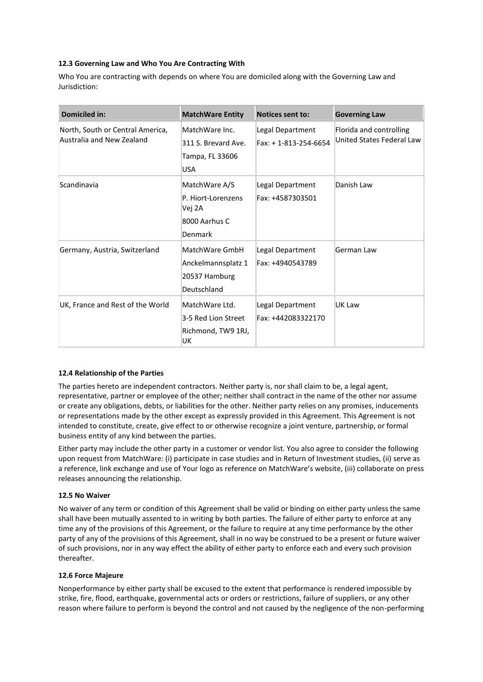### **12.3 Governing Law and Who You Are Contracting With**

Who You are contracting with depends on where You are domiciled along with the Governing Law and Jurisdiction:

| <b>Domiciled in:</b>                                          | <b>MatchWare Entity</b>                                                   | Notices sent to:                         | <b>Governing Law</b>                                 |
|---------------------------------------------------------------|---------------------------------------------------------------------------|------------------------------------------|------------------------------------------------------|
| North, South or Central America,<br>Australia and New Zealand | MatchWare Inc.<br>311 S. Brevard Ave.<br>Tampa, FL 33606<br><b>USA</b>    | Legal Department<br>Fax: +1-813-254-6654 | Florida and controlling<br>United States Federal Law |
| Scandinavia                                                   | MatchWare A/S<br>P. Hiort-Lorenzens<br>Vej 2A<br>8000 Aarhus C<br>Denmark | Legal Department<br>Fax: +4587303501     | Danish Law                                           |
| Germany, Austria, Switzerland                                 | MatchWare GmbH<br>Anckelmannsplatz 1<br>20537 Hamburg<br>Deutschland      | Legal Department<br>Fax: +4940543789     | German Law                                           |
| UK, France and Rest of the World                              | MatchWare Ltd.<br>3-5 Red Lion Street<br>Richmond, TW9 1RJ,<br>UK         | Legal Department<br>Fax: +442083322170   | UK Law                                               |

### **12.4 Relationship of the Parties**

The parties hereto are independent contractors. Neither party is, nor shall claim to be, a legal agent, representative, partner or employee of the other; neither shall contract in the name of the other nor assume or create any obligations, debts, or liabilities for the other. Neither party relies on any promises, inducements or representations made by the other except as expressly provided in this Agreement. This Agreement is not intended to constitute, create, give effect to or otherwise recognize a joint venture, partnership, or formal business entity of any kind between the parties.

Either party may include the other party in a customer or vendor list. You also agree to consider the following upon request from MatchWare: (i) participate in case studies and in Return of Investment studies, (ii) serve as a reference, link exchange and use of Your logo as reference on MatchWare's website, (iii) collaborate on press releases announcing the relationship.

### **12.5 No Waiver**

No waiver of any term or condition of this Agreement shall be valid or binding on either party unless the same shall have been mutually assented to in writing by both parties. The failure of either party to enforce at any time any of the provisions of this Agreement, or the failure to require at any time performance by the other party of any of the provisions of this Agreement, shall in no way be construed to be a present or future waiver of such provisions, nor in any way effect the ability of either party to enforce each and every such provision thereafter.

### **12.6 Force Majeure**

Nonperformance by either party shall be excused to the extent that performance is rendered impossible by strike, fire, flood, earthquake, governmental acts or orders or restrictions, failure of suppliers, or any other reason where failure to perform is beyond the control and not caused by the negligence of the non-performing